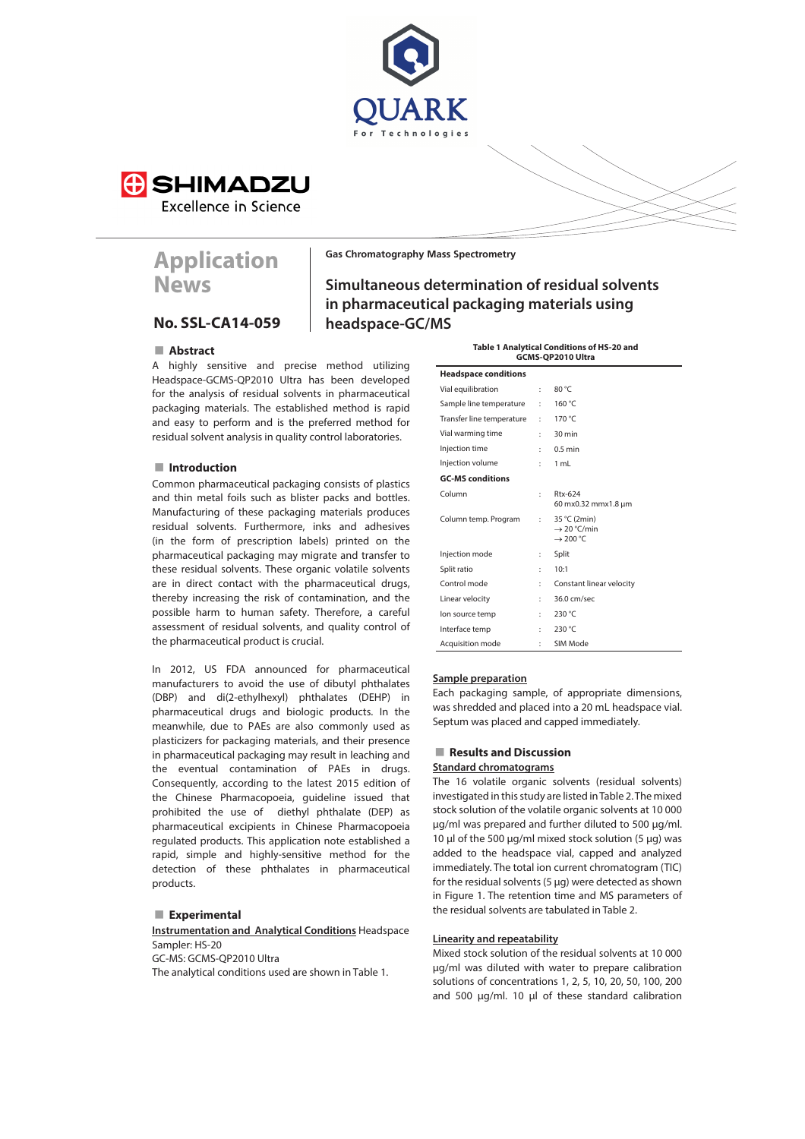



# **Application News**

## **No. SSL-CA14-059**

#### **Abstract**

A highly sensitive and precise method utilizing Headspace-GCMS-QP2010 Ultra has been developed for the analysis of residual solvents in pharmaceutical packaging materials. The established method is rapid and easy to perform and is the preferred method for residual solvent analysis in quality control laboratories.

### **Introduction**

Common pharmaceutical packaging consists of plastics and thin metal foils such as blister packs and bottles. Manufacturing of these packaging materials produces residual solvents. Furthermore, inks and adhesives (in the form of prescription labels) printed on the pharmaceutical packaging may migrate and transfer to these residual solvents. These organic volatile solvents are in direct contact with the pharmaceutical drugs, thereby increasing the risk of contamination, and the possible harm to human safety. Therefore, a careful assessment of residual solvents, and quality control of the pharmaceutical product is crucial.

In 2012, US FDA announced for pharmaceutical manufacturers to avoid the use of dibutyl phthalates (DBP) and di(2-ethylhexyl) phthalates (DEHP) in pharmaceutical drugs and biologic products. In the meanwhile, due to PAEs are also commonly used as plasticizers for packaging materials, and their presence in pharmaceutical packaging may result in leaching and the eventual contamination of PAEs in drugs. Consequently, according to the latest 2015 edition of the Chinese Pharmacopoeia, quideline issued that prohibited the use of diethyl phthalate (DEP) as pharmaceutical excipients in Chinese Pharmacopoeia regulated products. This application note established a rapid, simple and highly-sensitive method for the detection of these phthalates in pharmaceutical products.

#### **Experimental**

**Instrumentation and Analytical Conditions** Headspace Sampler: HS-20 GC-MS: GCMS-QP2010 Ultra

The analytical conditions used are shown in Table 1.

#### **Gas Chromatography Mass Spectrometry**

# **Simultaneous determination of residual solvents in pharmaceutical packaging materials using headspace-GCMS**

#### **Table 1 Analytical Conditions of HS-20 and GCMS-QP2010 Ultra**

| <b>Headspace conditions</b> |                      |                                                                 |  |
|-----------------------------|----------------------|-----------------------------------------------------------------|--|
| Vial equilibration          | $\ddot{\phantom{a}}$ | 80 °C                                                           |  |
| Sample line temperature     | ÷                    | 160 °C                                                          |  |
| Transfer line temperature   | ÷                    | 170 °C                                                          |  |
| Vial warming time           | t                    | 30 min                                                          |  |
| Injection time              | ÷                    | $0.5$ min                                                       |  |
| Injection volume            | ÷                    | 1 mL                                                            |  |
| <b>GC-MS conditions</b>     |                      |                                                                 |  |
| Column                      | ÷                    | Rtx-624<br>60 mx0.32 mmx1.8 µm                                  |  |
| Column temp. Program        | $\ddot{\phantom{a}}$ | 35 °C (2min)<br>$\rightarrow$ 20 °C/min<br>$\rightarrow$ 200 °C |  |
| Injection mode              | ÷                    | Split                                                           |  |
| Split ratio                 | t                    | 10:1                                                            |  |
| Control mode                | t                    | Constant linear velocity                                        |  |
| Linear velocity             | ÷                    | 36.0 cm/sec                                                     |  |
| lon source temp             | ÷                    | 230 °C                                                          |  |
| Interface temp              | ÷                    | 230 °C                                                          |  |
| Acquisition mode            | ÷                    | SIM Mode                                                        |  |
|                             |                      |                                                                 |  |

#### **Sample preparation**

Each packaging sample, of appropriate dimensions, was shredded and placed into a 20 mL headspace vial. Septum was placed and capped immediately.

#### **Results and Discussion Standard chromatograms**

The 16 volatile organic solvents (residual solvents) investigated in this study are listed in Table 2. The mixed stock solution of the volatile organic solvents at 10 000 µg/ml was prepared and further diluted to 500 µg/ml. 10 µl of the 500 µg/ml mixed stock solution (5 µg) was added to the headspace vial, capped and analyzed immediately. The total ion current chromatogram (TIC) for the residual solvents (5 µg) were detected as shown in Figure 1. The retention time and MS parameters of the residual solvents are tabulated in Table 2.

#### **Linearity and repeatability**

Mixed stock solution of the residual solvents at 10 000 µg/ml was diluted with water to prepare calibration solutions of concentrations 1, 2, 5, 10, 20, 50, 100, 200 and 500 µg/ml. 10 µl of these standard calibration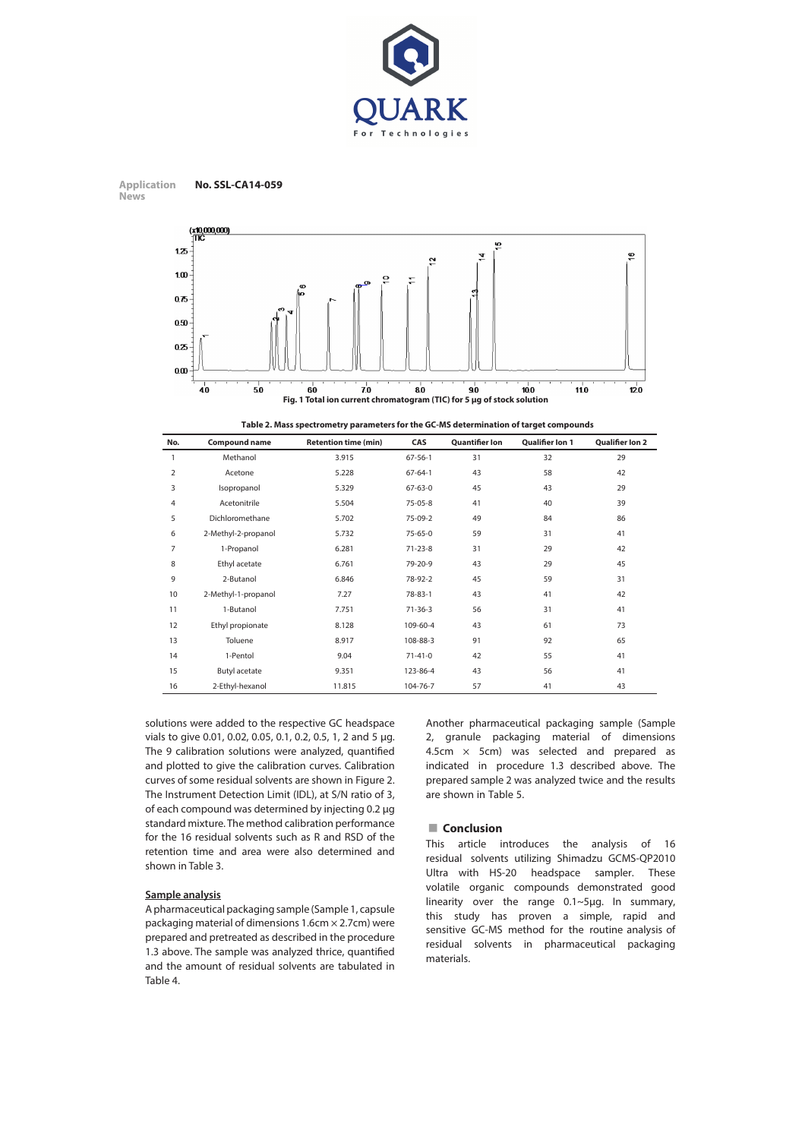





| Table 2. Mass spectrometry parameters for the GC-MS determination of target compounds |  |
|---------------------------------------------------------------------------------------|--|
|---------------------------------------------------------------------------------------|--|

| No.            | <b>Compound name</b> | <b>Retention time (min)</b> | CAS           | <b>Quantifier Ion</b> | <b>Qualifier lon 1</b> | <b>Qualifier lon 2</b> |
|----------------|----------------------|-----------------------------|---------------|-----------------------|------------------------|------------------------|
| $\mathbf{1}$   | Methanol             | 3.915                       | $67 - 56 - 1$ | 31                    | 32                     | 29                     |
| $\overline{2}$ | Acetone              | 5.228                       | $67 - 64 - 1$ | 43                    | 58                     | 42                     |
| 3              | Isopropanol          | 5.329                       | $67 - 63 - 0$ | 45                    | 43                     | 29                     |
| 4              | Acetonitrile         | 5.504                       | $75 - 05 - 8$ | 41                    | 40                     | 39                     |
| 5              | Dichloromethane      | 5.702                       | 75-09-2       | 49                    | 84                     | 86                     |
| 6              | 2-Methyl-2-propanol  | 5.732                       | $75 - 65 - 0$ | 59                    | 31                     | 41                     |
| 7              | 1-Propanol           | 6.281                       | $71 - 23 - 8$ | 31                    | 29                     | 42                     |
| 8              | Ethyl acetate        | 6.761                       | 79-20-9       | 43                    | 29                     | 45                     |
| 9              | 2-Butanol            | 6.846                       | 78-92-2       | 45                    | 59                     | 31                     |
| 10             | 2-Methyl-1-propanol  | 7.27                        | $78 - 83 - 1$ | 43                    | 41                     | 42                     |
| 11             | 1-Butanol            | 7.751                       | $71 - 36 - 3$ | 56                    | 31                     | 41                     |
| 12             | Ethyl propionate     | 8.128                       | 109-60-4      | 43                    | 61                     | 73                     |
| 13             | Toluene              | 8.917                       | 108-88-3      | 91                    | 92                     | 65                     |
| 14             | 1-Pentol             | 9.04                        | $71 - 41 - 0$ | 42                    | 55                     | 41                     |
| 15             | Butyl acetate        | 9.351                       | 123-86-4      | 43                    | 56                     | 41                     |
| 16             | 2-Ethyl-hexanol      | 11.815                      | 104-76-7      | 57                    | 41                     | 43                     |

solutions were added to the respective GC headspace vials to give 0.01, 0.02, 0.05, 0.1, 0.2, 0.5, 1, 2 and 5 µg. The 9 calibration solutions were analyzed, quantifed and plotted to give the calibration curves. Calibration curves of some residual solvents are shown in Figure 2. The Instrument Detection Limit (IDL), at S/N ratio of 3, of each compound was determined by injecting 0.2 μg standard mixture. The method calibration performance for the 16 residual solvents such as R and RSD of the retention time and area were also determined and shown in Table 3.

#### **Sample analysis**

A pharmaceutical packaging sample (Sample 1, capsule packaging material of dimensions 1.6cm × 2.7cm) were prepared and pretreated as described in the procedure 1.3 above. The sample was analyzed thrice, quantifed and the amount of residual solvents are tabulated in Table 4.

Another pharmaceutical packaging sample (Sample 2, granule packaging material of dimensions 4.5cm  $\times$  5cm) was selected and prepared as indicated in procedure 1.3 described above. The prepared sample 2 was analyzed twice and the results are shown in Table 5.

#### **Conclusion**

This article introduces the analysis of 16 residual solvents utilizing Shimadzu GCMS-QP2010 Ultra with HS-20 headspace sampler. These volatile organic compounds demonstrated good linearity over the range 0.1~5µg. In summary, this study has proven a simple, rapid and sensitive GC-MS method for the routine analysis of residual solvents in pharmaceutical packaging materials.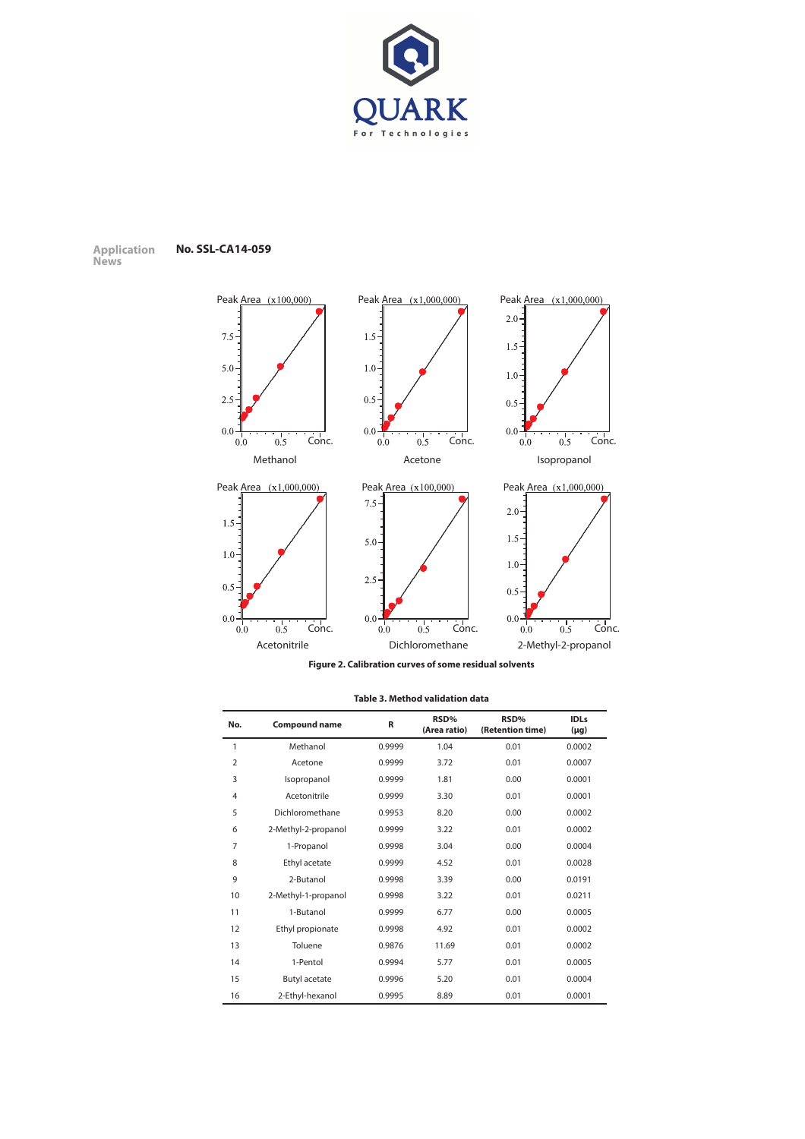

**Application No. SSL-CA14-059**

**News**



**Figure 2. Calibration curves of some residual solvents**

#### **Table 3. Method validation data**

| No.            | <b>Compound name</b> | R      | RSD%<br>(Area ratio) | RSD%<br>(Retention time) | <b>IDLs</b><br>(µg) |
|----------------|----------------------|--------|----------------------|--------------------------|---------------------|
| 1              | Methanol             | 0.9999 | 1.04                 | 0.01                     | 0.0002              |
| $\overline{2}$ | Acetone              | 0.9999 | 3.72                 | 0.01                     | 0.0007              |
| 3              | Isopropanol          | 0.9999 | 1.81                 | 0.00                     | 0.0001              |
| $\overline{4}$ | Acetonitrile         | 0.9999 | 3.30                 | 0.01                     | 0.0001              |
| 5              | Dichloromethane      | 0.9953 | 8.20                 | 0.00                     | 0.0002              |
| 6              | 2-Methyl-2-propanol  | 0.9999 | 3.22                 | 0.01                     | 0.0002              |
| 7              | 1-Propanol           | 0.9998 | 3.04                 | 0.00                     | 0.0004              |
| 8              | Ethyl acetate        | 0.9999 | 4.52                 | 0.01                     | 0.0028              |
| 9              | 2-Butanol            | 0.9998 | 3.39                 | 0.00                     | 0.0191              |
| 10             | 2-Methyl-1-propanol  | 0.9998 | 3.22                 | 0.01                     | 0.0211              |
| 11             | 1-Butanol            | 0.9999 | 6.77                 | 0.00                     | 0.0005              |
| 12             | Ethyl propionate     | 0.9998 | 4.92                 | 0.01                     | 0.0002              |
| 13             | Toluene              | 0.9876 | 11.69                | 0.01                     | 0.0002              |
| 14             | 1-Pentol             | 0.9994 | 5.77                 | 0.01                     | 0.0005              |
| 15             | Butyl acetate        | 0.9996 | 5.20                 | 0.01                     | 0.0004              |
| 16             | 2-Ethyl-hexanol      | 0.9995 | 8.89                 | 0.01                     | 0.0001              |